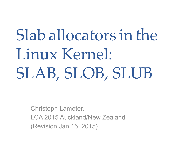# Slab allocators in the Linux Kernel: SLAB, SLOB, SLUB

Christoph Lameter, LCA 2015 Auckland/New Zealand (Revision Jan 15, 2015)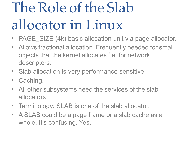# The Role of the Slab allocator in Linux

- PAGE SIZE (4k) basic allocation unit via page allocator.
- Allows fractional allocation. Frequently needed for small objects that the kernel allocates f.e. for network descriptors.
- Slab allocation is very performance sensitive.
- Caching.
- All other subsystems need the services of the slab allocators.
- Terminology: SLAB is one of the slab allocator.
- A SLAB could be a page frame or a slab cache as a whole. It's confusing. Yes.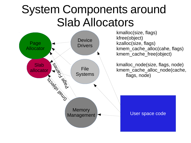### System Components around Slab Allocators

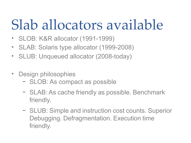## Slab allocators available

- SLOB: K&R allocator (1991-1999)
- SLAB: Solaris type allocator (1999-2008)
- SLUB: Unqueued allocator (2008-today)
- Design philosophies
	- SLOB: As compact as possible
	- SLAB: As cache friendly as possible. Benchmark friendly.
	- SLUB: Simple and instruction cost counts. Superior Debugging. Defragmentation. Execution time friendly.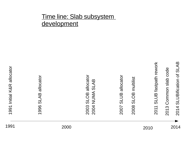#### Time line: Slab subsystem development

 $\overline{\phantom{0}}$ ග ග ဖ M  $\Delta$ മ allo cator

 $\mathbf \circ$  $\mathbf \circ$ 4 Z  $\supset$  $\mathbf{\Sigma}% _{T}$ Aທ  $\Delta$ മ  $\mathbf \circ$  $\mathbf \circ$ ო M  $\overline{\phantom{a}}$ Oമ allo cator

 $\sim$ 

 $\sim$ 

 $\mathrel{\sim}$  $\mathbf \circ$  $\mathbf \circ$  $\overline{\phantom{1}}$ M L $\supset$ മ allo cator

 $\mathrel{\sim}$  $\mathbf \circ$  $\mathbf \circ$ 00 M LOമ  $\Xi$ ultilist  $\sim$  $\mathbf \circ$  $\exists$ ທ  $\overline{\phantom{a}}$  $\supset$ B fa stp ath re  $\geq$ ork

 $\boldsymbol{\sim}$  $\mathbf \circ$  $\overline{\phantom{0}}$ ო  $\bm{\mathsf{C}}$ o $\Xi$  $\Xi$ o $\mathbf \subset$ sla  $\boldsymbol{\mathsf{\Omega}}$ code

1991 2000 2010 2014

 $\boldsymbol{\sim}$  $\mathbf \circ$  $\overline{\phantom{0}}$ 4 ഗ L $\supset$ 

Bific

atio  $\mathbf \subset$ 

of S

 $\Delta$ മ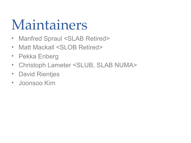## Maintainers

- Manfred Spraul <SLAB Retired>
- Matt Mackall <SLOB Retired>
- Pekka Enberg
- Christoph Lameter <SLUB, SLAB NUMA>
- David Rientjes
- Joonsoo Kim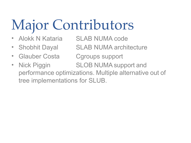# Major Contributors

- Alokk N Kataria SLAB NUMA code
- Shobhit Dayal SLAB NUMA architecture
- Glauber Costa Cgroups support
- Nick Piggin SLOB NUMA support and performance optimizations. Multiple alternative out of tree implementations for SLUB.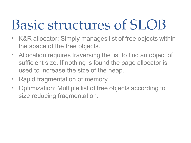## Basic structures of SLOB

- K&R allocator: Simply manages list of free objects within the space of the free objects.
- Allocation requires traversing the list to find an object of sufficient size. If nothing is found the page allocator is used to increase the size of the heap.
- Rapid fragmentation of memory.
- Optimization: Multiple list of free objects according to size reducing fragmentation.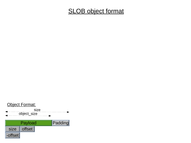#### **SLOB object format**

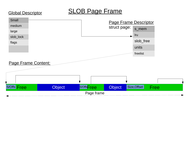#### SLOB Page Frame

Global Descriptor

#### Page Frame Descriptor struct page: Page Frame Content: Page frame Object SlottsFree Object s\_mem lru slob\_free units freelist Small medium large slob\_lock flags S/Offs Free Chiect Sloffs Free Object Size, Offset Free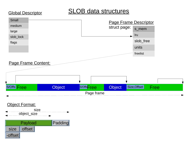#### SLOB data structures





#### Global Descriptor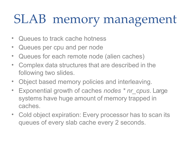## SLAB memory management

- Queues to track cache hotness
- Queues per cpu and per node
- Queues for each remote node (alien caches)
- Complex data structures that are described in the following two slides.
- Object based memory policies and interleaving.
- Exponential growth of caches *nodes \* nr\_cpus*. Large systems have huge amount of memory trapped in caches.
- Cold object expiration: Every processor has to scan its queues of every slab cache every 2 seconds.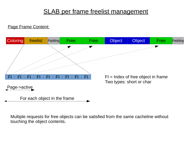#### SLAB per frame freelist management

#### Page Frame Content:



Multiple requests for free objects can be satisfied from the same cacheline without touching the object contents.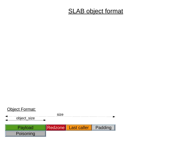#### **SLAB object format**

#### Object Format:

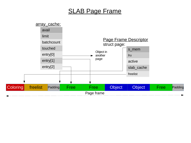#### SLAB Page Frame

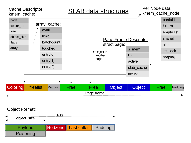#### Cache Descriptor kmem\_cache:

SLAB data structures

Per Node data kmem cache node:



#### Object Format:

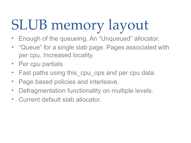# SLUB memory layout

- Enough of the queueing. An "Unqueued" allocator.
- "Queue" for a single slab page. Pages associated with per cpu. Increased locality.
- Per cpu partials
- Fast paths using this\_cpu\_ops and per cpu data.
- Page based policies and interleave.
- Defragmentation functionality on multiple levels.
- Current default slab allocator.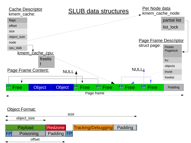

#### Object Format:

Payload **Redzone** Tracking/Debugging Padding FP Poisoning Padding FP object\_size size offset Poisoning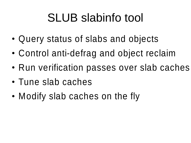## SLUB slabinfo tool

- Query status of slabs and objects
- Control anti-defrag and object reclaim
- Run verification passes over slab caches
- Tune slab caches
- Modify slab caches on the fly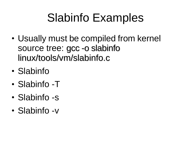## Slabinfo Examples

- Usually must be compiled from kernel source tree: gcc -o slabinfo linux/tools/vm/slabinfo.c
- Slabinfo
- Slabinfo -T
- Slabinfo -s
- Slabinfo -v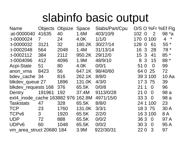### slabinfo basic output

| <b>Name</b>                 | <b>Objects</b> | Objsize | <b>Space</b> | Slabs/Part/Cpu |           |                | O/S O %Fr %Ef Flg         |
|-----------------------------|----------------|---------|--------------|----------------|-----------|----------------|---------------------------|
| :at-0000040                 | 41635          | 40      | 1.6M         | 403/10/9       | 102 0     | $\overline{2}$ | 98 $*$ a                  |
| :t-0000024                  | $\overline{7}$ | 24      | 4.0K         | 1/1/0          | 170 0 100 |                | $\overline{4}$<br>$\star$ |
| $:1 - 0000032$              | 3121           | 32      | 180.2K       | 30/27/14       | 128 0     | 61             | $55*$                     |
| $:1 - 0002048$              | 564            | 2048    | 1.4M         | 31/13/14       | 16 3      | 28             | $78*$                     |
| $:1 - 0002112$              | 384            | 2112    | 950.2K       | 29/12/0        | 3<br>15   | 41             | $85 *$                    |
| $:1 - 0004096$              | 412            | 4096    | 1.9M         | 48/9/10        | 3<br>8    | 15             | 88 *                      |
| <b>Acpi-State</b>           | 51             | 80      | 4.0K         | 0/0/1          | 510       | $\Omega$       | 99                        |
| anon vma                    | 8423           | 56      | 647.1K       | 98/40/60       | 64 0 25   |                | 72                        |
| bdev cache 34               |                | 816     | 262.1K       | 8/8/0          | 39 3 100  |                | 10Aa                      |
| blkdev_queue 27             |                | 1896    | 131.0K       | 4/3/0          | 173       | 75             | 39                        |
| blkdev requests 168         |                | 376     | 65.5K        | 0/0/8          | 21 1      | $\overline{0}$ | 96                        |
| <b>Dentry</b>               | 191961         | 192     | 37.4M        | 9113/0/28      | 210       | $\overline{0}$ | 98 a                      |
| ext4 inode cache 163882 976 |                |         | 162.8M       | 4971/15/0      | 333       | $\overline{0}$ | 98 a                      |
| <b>Taskstats</b>            | 47             | 328     | 65.5K        | 8/8/0          | 24 1 100  |                | 23                        |
| <b>TCP</b>                  | 23             | 1760    | 131.0K       | 3/3/1          | 18 3 75   |                | 30 A                      |
| TCP <sub>v6</sub>           | 3              | 1920    | 65.5K        | 2/2/0          | 16 3 100  |                | 8A                        |
| <b>UDP</b>                  | 72             | 888     | 65.5K        | 0/0/2          | 363       | $\overline{0}$ | 97 A                      |
| UDPv6                       | 60             | 1048    | 65.5K        | 0/0/2          | 30 3      | $\overline{0}$ | 95A                       |
| vm_area_struct 20680 184    |                |         | 3.9M         | 922/30/31      | 220       | 3              | 97                        |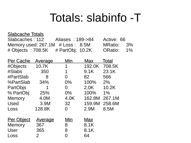### Totals: slabinfo -T

#### Slabcache Totals

| Slabcaches: 112                        | Aliases: 189->84 | Active: 66 |  |
|----------------------------------------|------------------|------------|--|
| Memory used: $267.1M$ # Loss: 8.5M     |                  | MRatio: 3% |  |
| # Objects : 708.5K $\#$ PartObj: 10.2K |                  | ORatio: 1% |  |

| Per Cache         | <u>Average</u> | Min   | <b>Max</b> | Total  |
|-------------------|----------------|-------|------------|--------|
| #Objects          | 10.7K          | 1     | 192.0K     | 708.5K |
| #Slabs            | 350            | 1     | 9.1K       | 23.1K  |
| #PartSlab         | 8              | 0     | 82         | 566    |
| %PartSlab         | 34%            | $0\%$ | 100%       | 2%     |
| PartObjs          | 1              | 0     | 2.0K       | 10.2K  |
| % PartObj         | 25%            | $0\%$ | 100%       | 1%     |
| Memory            | 4.0M           | 4.0K  | 162.8M     | 267.1M |
| Used              | 3.9M           | 32    | 159.9M     | 258.6M |
| Loss              | 128.8K         | 0     | 2.9M       | 8.5M   |
|                   |                |       |            |        |
| <u>Per Object</u> | <u>Average</u> | Min   | Max        |        |
| Memory            | 367            | 8     | 8.1K       |        |
| User              | 365            | 8     | 8.1K       |        |
| Loss              | 2              | N     | 64         |        |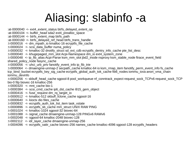## Aliasing: slabinfo -a

- :at-0000040 <- ext4\_extent\_status btrfs\_delayed\_extent\_op
- : at-0000104 <- buffer head sda2 ext4 prealloc space
- : at-0000144  $\le$  btrfs extent map btrfs path
- :at-0000160 <- btrfs\_delayed\_ref\_head btrfs\_trans\_handle
- :t-0000016 <- dm\_mpath\_io kmalloc-16 ecryptfs\_file\_cache
- :t-0000024 <- scsi\_data\_buffer numa\_policy
- :t-0000032 <- kmalloc-32 dnotify\_struct sd\_ext\_cdb ecryptfs\_dentry\_info\_cache pte\_list\_desc
- :t-0000040 <- khugepaged\_mm\_slot Acpi-Namespace dm\_io ext4\_system\_zone
- :t-0000048 <- ip\_fib\_alias Acpi-Parse ksm\_mm\_slot jbd2\_inode nsproxy ksm\_stable\_node ftrace\_event\_field shared policy node fasync cache
- :t-0000056 <- uhci urb priv fanotify event info ip fib trie
- :t-0000064 <- dmaengine-unmap-2 secpath\_cache kmalloc-64 io ksm\_rmap\_item fanotify\_perm\_event\_info fs\_cache tcp\_bind\_bucket ecryptfs\_key\_sig\_cache ecryptfs\_global\_auth\_tok\_cache fib6\_nodes iommu\_iova anon\_vma\_chain iommu\_devinfo
- :t-0000256 <- skbuff\_head\_cache sgpool-8 pool\_workqueue nf\_conntrack\_expect request\_sock\_TCPv6 request\_sock\_TCP bio-0 filp biovec-16 kmalloc-256
- $:$ t-0000320 <- mnt cache bio-1
- :t-0000384 <- scsi\_cmd\_cache ip6\_dst\_cache i915\_gem\_object
- :t-0000416  $\le$  fuse request dm\_rq\_target\_io
- :t-0000512 <- kmalloc-512 skbuff\_fclone\_cache sgpool-16
- :t-0000640 <- kioctx dio files\_cache
- :t-0000832 <- ecryptfs\_auth\_tok\_list\_item task\_xstate
- :t-0000896 <- ecryptfs\_sb\_cache mm\_struct UNIX RAW PING
- :t-0001024 <- kmalloc-1024 sgpool-32 biovec-64
- :t-0001088 <- signal\_cache dmaengine-unmap-128 PINGv6 RAWv6
- :t-0002048 <- sgpool-64 kmalloc-2048 biovec-128
- :t-0002112 <- idr\_layer\_cache dmaengine-unmap-256
- :t-0004096 <- ecryptfs\_xattr\_cache biovec-256 names\_cache kmalloc-4096 sgpool-128 ecryptfs\_headers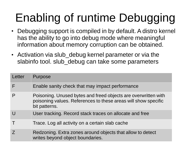## Enabling of runtime Debugging

- Debugging support is compiled in by default. A distro kernel has the ability to go into debug mode where meaningful information about memory corruption can be obtained.
- Activation via slub debug kernel parameter or via the slabinfo tool. slub debug can take some parameters

| Letter | Purpose                                                                                                                                           |
|--------|---------------------------------------------------------------------------------------------------------------------------------------------------|
|        | Enable sanity check that may impact performance                                                                                                   |
|        | Poisoning. Unused bytes and freed objects are overwritten with<br>poisoning values. References to these areas will show specific<br>bit patterns. |
|        | User tracking. Record stack traces on allocate and free                                                                                           |
|        | Trace. Log all activity on a certain slab cache                                                                                                   |
|        | Redzoning. Extra zones around objects that allow to detect<br>writes beyond object boundaries.                                                    |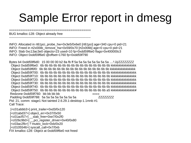### Sample Error report in dmesg

BUG kmalloc-128: Object already free

============================================

-----------------------------------------------------------------------------

INFO: Allocated in rt61pci\_probe\_hw+0x3e5/0x6e0 [rt61pci] age=340 cpu=0 pid=21 INFO: Freed in rt2x00lib\_remove\_hw+0x59/0x70 [rt2x00lib] age=0 cpu=0 pid=21 INFO: Slab 0xc13ac3e0 objects=23 used=10 fp=0xdd59f6e0 flags=0x400000c3 INFO: Object 0xdd59f6e0 @offset=1760 fp=0xdd59f790

Bytes b4 0xdd59f6d0: 15 00 00 00 b2 8a fb ff 5a 5a 5a 5a 5a 5a 5a 5a ....².ûÿZZZZZZZZ Object 0xdd59f6e0: 6b 6b 6b 6b 6b 6b 6b 6b 6b 6b 6b 6b 6b 6b 6b 6b kkkkkkkkkkkkkkkk Object 0xdd59f6f0: 6b 6b 6b 6b 6b 6b 6b 6b 6b 6b 6b 6b 6b 6b 6b 6b kkkkkkkkkkkkkkkk Object 0xdd59f700: 6b 6b 6b 6b 6b 6b 6b 6b 6b 6b 6b 6b 6b 6b 6b 6b kkkkkkkkkkkkkkkk Object 0xdd59f710: 6b 6b 6b 6b 6b 6b 6b 6b 6b 6b 6b 6b 6b 6b 6b 6b kkkkkkkkkkkkkkkk Object 0xdd59f720: 6b 6b 6b 6b 6b 6b 6b 6b 6b 6b 6b 6b 6b 6b 6b 6b kkkkkkkkkkkkkkkk Object 0xdd59f730: 6b 6b 6b 6b 6b 6b 6b 6b 6b 6b 6b 6b 6b 6b 6b 6b kkkkkkkkkkkkkkkk Object 0xdd59f740: 6b 6b 6b 6b 6b 6b 6b 6b 6b 6b 6b 6b 6b 6b 6b 6b kkkkkkkkkkkkkkkk Object 0xdd59f750: 6b 6b 6b 6b 6b 6b 6b 6b 6b 6b 6b 6b 6b 6b 6b a5 kkkkkkkkkkkkkkk¥ Redzone 0xdd59f760: bb bb bb bb »»»» Padding 0xdd59f788: 5a 5a 5a 5a 5a 5a 5a 5a ZZZZZZZZ Pid: 21, comm: stage1 Not tainted 2.6.29.1-desktop-1.1mnb #1 Call Trace:

[<c01abbb3>] print\_trailer+0xd3/0x120 [<c01abd37>] object\_err+0x37/0x50 [<c01acf57>] \_\_slab\_free+0xe7/0x2f0 [<c026c9b0>] \_\_pci\_register\_driver+0x40/0x80 [<c03ac2fb>] ? mutex\_lock+0xb/0x20 [<c0105546>] syscall\_call+0x7/0xb FIX kmalloc-128: Object at 0xdd59f6e0 not freed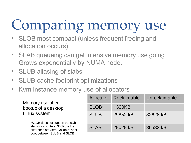# Comparing memory use

- SLOB most compact (unless frequent freeing and allocation occurs)
- SLAB queueing can get intensive memory use going. Grows exponentially by NUMA node.
- SLUB aliasing of slabs
- SLUB cache footprint optimizations
- Kvm instance memory use of allocators

Memory use after bootup of a desktop Linux system

> \*SLOB does not support the slab statistics counters. 300Kb is the difference of "MemAvailable" after boot between SLUB and SLOB

| Allocator         | Reclaimable | Unreclaimable |
|-------------------|-------------|---------------|
| SLOB <sup>*</sup> | $-300KB +$  |               |
| <b>SLUB</b>       | 29852 kB    | 32628 kB      |
| <b>SLAB</b>       | 29028 kB    | 36532 kB      |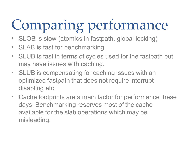# Comparing performance

- SLOB is slow (atomics in fastpath, global locking)
- SLAB is fast for benchmarking
- SLUB is fast in terms of cycles used for the fastpath but may have issues with caching.
- SLUB is compensating for caching issues with an optimized fastpath that does not require interrupt disabling etc.
- Cache footprints are a main factor for performance these days. Benchmarking reserves most of the cache available for the slab operations which may be misleading.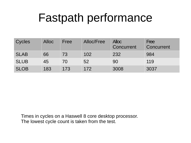### Fastpath performance

| Cycles      | <b>Alloc</b> | Free | Alloc/Free | <b>Alloc</b><br>Concurrent | Free<br>Concurrent |
|-------------|--------------|------|------------|----------------------------|--------------------|
| <b>SLAB</b> | 66           | 73   | 102        | 232                        | 984                |
| <b>SLUB</b> | 45           | 70   | 52         | 90                         | 119                |
| <b>SLOB</b> | 183          | 173  | 172        | 3008                       | 3037               |

Times in cycles on a Haswell 8 core desktop processor. The lowest cycle count is taken from the test.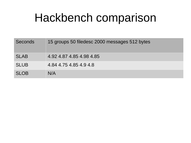### Hackbench comparison

| <b>Seconds</b> | 15 groups 50 filedesc 2000 messages 512 bytes |
|----------------|-----------------------------------------------|
| <b>SLAB</b>    | 4.92 4.87 4.85 4.98 4.85                      |
| <b>SLUB</b>    | 4.84 4.75 4.85 4.9 4.8                        |
| <b>SLOB</b>    | N/A                                           |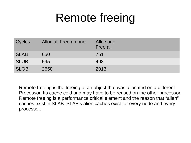### Remote freeing

| Cycles      | Alloc all Free on one | Alloc one<br>Free all |
|-------------|-----------------------|-----------------------|
| <b>SLAB</b> | 650                   | 761                   |
| <b>SLUB</b> | 595                   | 498                   |
| <b>SLOB</b> | 2650                  | 2013                  |

Remote freeing is the freeing of an object that was allocated on a different Processor. Its cache cold and may have to be reused on the other processor. Remote freeing is a performance critical element and the reason that "alien" caches exist in SLAB. SLAB's alien caches exist for every node and every processor.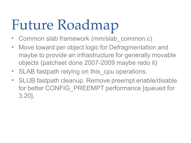# Future Roadmap

- Common slab framework (mm/slab common.c)
- Move toward per object logic for Defragmentation and maybe to provide an infrastructure for generally movable objects (patchset done 2007-2009 maybe redo it)
- SLAB fastpath relying on this cpu operations.
- SLUB fastpath cleanup. Remove preempt enable/disable for better CONFIG\_PREEMPT performance [queued for 3.20].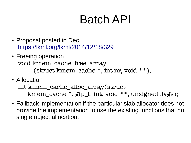### Batch API

- Proposal posted in Dec. <https://lkml.org/lkml/2014/12/18/329>
- Freeing operation void kmem\_cache\_free\_array (struct kmem\_cache \*, int nr, void \*\*);
- Allocation

int kmem\_cache\_alloc\_array(struct kmem\_cache \*, gfp\_t, int, void \*\*, unsigned fags);

• Fallback implementation if the particular slab allocator does not provide the implementation to use the existing functions that do single object allocation.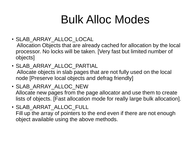## Bulk Alloc Modes

- SLAB\_ARRAY\_ALLOC\_LOCAL
- Allocation Objects that are already cached for allocation by the local processor. No locks will be taken. [Very fast but limited number of objects]
- SLAB ARRAY ALLOC PARTIAL Allocate objects in slab pages that are not fully used on the local node [Preserve local objects and defrag friendly]
- SLAB ARRAY ALLOC NEW Allocate new pages from the page allocator and use them to create lists of objects. [Fast allocation mode for really large bulk allocation].
- SLAB\_ARRAT\_ALLOC\_FULL Fill up the array of pointers to the end even if there are not enough object available using the above methods.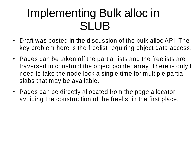### Implementing Bulk alloc in SLUB

- Draft was posted in the discussion of the bulk alloc API. The key problem here is the freelist requiring object data access.
- Pages can be taken off the partial lists and the freelists are traversed to construct the object pointer array. There is only to need to take the node lock a single time for multiple partial slabs that may be available.
- Pages can be directly allocated from the page allocator avoiding the construction of the freelist in the first place.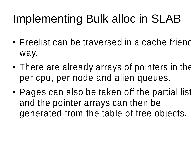## Implementing Bulk alloc in SLAB

- Freelist can be traversed in a cache friend way.
- There are already arrays of pointers in the per cpu, per node and alien queues.
- Pages can also be taken off the partial list and the pointer arrays can then be generated from the table of free objects.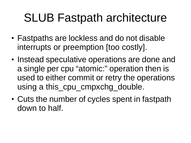### SLUB Fastpath architecture

- Fastpaths are lockless and do not disable interrupts or preemption [too costly].
- Instead speculative operations are done and a single per cpu "atomic:" operation then is used to either commit or retry the operations using a this\_cpu\_cmpxchg\_double.
- Cuts the number of cycles spent in fastpath down to half.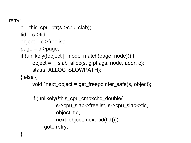```
retry:
c = this cpu ptr(s->cpu_slab);
tid = c->tid:
 object = c->freelist;
page = c->page; if (unlikely(!object || !node_match(page, node))) {
      object = \text{Islab}_\text{alloc}(s, \text{gfpflags}, \text{node}, \text{addr}, c); stat(s, ALLOC_SLOWPATH);
 } else {
       void *next_object = get_freepointer_safe(s, object);
       if (unlikely(!this_cpu_cmpxchg_double(
                   s->cpu_slab->freelist, s->cpu_slab->tid,
                   object, tid,
                   next_object, next_tid(tid)))) 
             goto retry;
```
}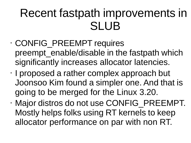### Recent fastpath improvements in SLUB

- CONFIG\_PREEMPT requires preempt enable/disable in the fastpath which significantly increases allocator latencies.
- I proposed a rather complex approach but Joonsoo Kim found a simpler one. And that is going to be merged for the Linux 3.20.
- Major distros do not use CONFIG\_PREEMPT. Mostly helps folks using RT kernels to keep allocator performance on par with non RT.